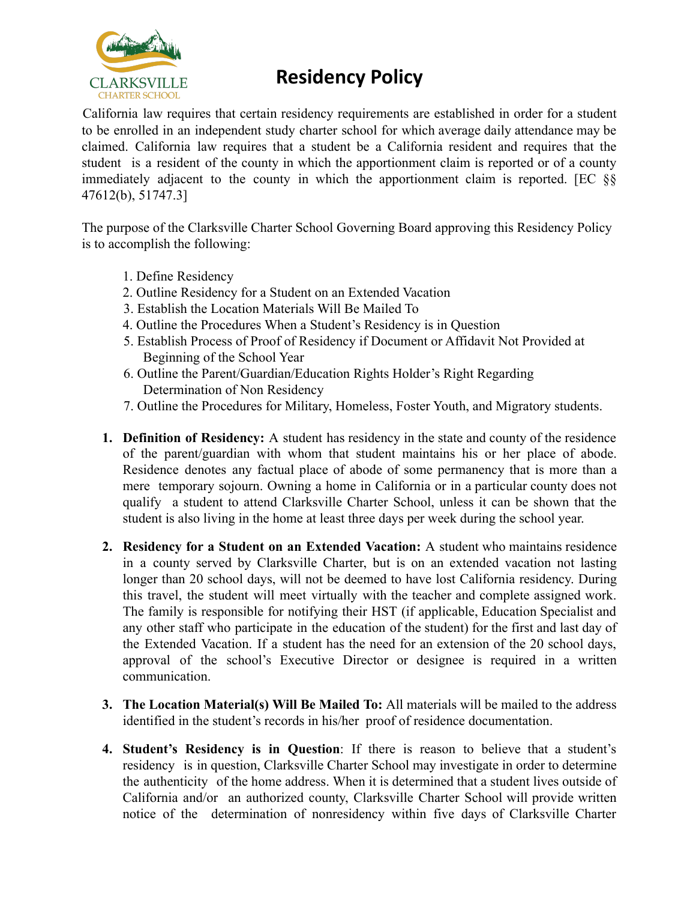

## **Residency Policy**

California law requires that certain residency requirements are established in order for a student to be enrolled in an independent study charter school for which average daily attendance may be claimed. California law requires that a student be a California resident and requires that the student is a resident of the county in which the apportionment claim is reported or of a county immediately adjacent to the county in which the apportionment claim is reported. [EC §§ 47612(b), 51747.3]

The purpose of the Clarksville Charter School Governing Board approving this Residency Policy is to accomplish the following:

- 1. Define Residency
- 2. Outline Residency for a Student on an Extended Vacation
- 3. Establish the Location Materials Will Be Mailed To
- 4. Outline the Procedures When a Student's Residency is in Question
- 5. Establish Process of Proof of Residency if Document or Affidavit Not Provided at Beginning of the School Year
- 6. Outline the Parent/Guardian/Education Rights Holder's Right Regarding Determination of Non Residency
- 7. Outline the Procedures for Military, Homeless, Foster Youth, and Migratory students.
- **1. Definition of Residency:** A student has residency in the state and county of the residence of the parent/guardian with whom that student maintains his or her place of abode. Residence denotes any factual place of abode of some permanency that is more than a mere temporary sojourn. Owning a home in California or in a particular county does not qualify a student to attend Clarksville Charter School, unless it can be shown that the student is also living in the home at least three days per week during the school year.
- **2. Residency for a Student on an Extended Vacation:** A student who maintains residence in a county served by Clarksville Charter, but is on an extended vacation not lasting longer than 20 school days, will not be deemed to have lost California residency. During this travel, the student will meet virtually with the teacher and complete assigned work. The family is responsible for notifying their HST (if applicable, Education Specialist and any other staff who participate in the education of the student) for the first and last day of the Extended Vacation. If a student has the need for an extension of the 20 school days, approval of the school's Executive Director or designee is required in a written communication.
- **3. The Location Material(s) Will Be Mailed To:** All materials will be mailed to the address identified in the student's records in his/her proof of residence documentation.
- **4. Student's Residency is in Question**: If there is reason to believe that a student's residency is in question, Clarksville Charter School may investigate in order to determine the authenticity of the home address. When it is determined that a student lives outside of California and/or an authorized county, Clarksville Charter School will provide written notice of the determination of nonresidency within five days of Clarksville Charter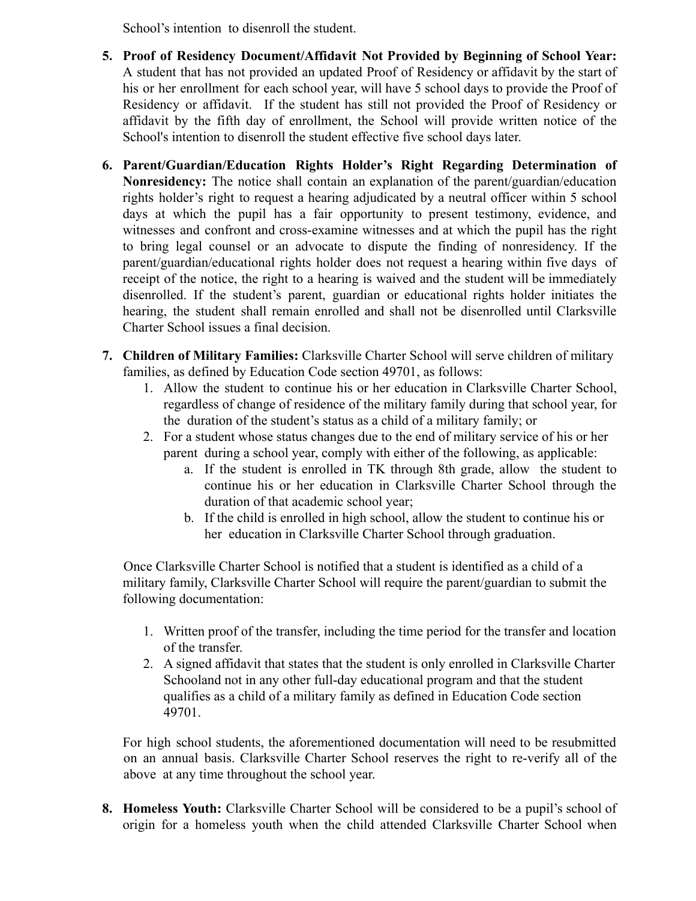School's intention to disenroll the student.

- **5. Proof of Residency Document/Affidavit Not Provided by Beginning of School Year:** A student that has not provided an updated Proof of Residency or affidavit by the start of his or her enrollment for each school year, will have 5 school days to provide the Proof of Residency or affidavit. If the student has still not provided the Proof of Residency or affidavit by the fifth day of enrollment, the School will provide written notice of the School's intention to disenroll the student effective five school days later.
- **6. Parent/Guardian/Education Rights Holder's Right Regarding Determination of Nonresidency:** The notice shall contain an explanation of the parent/guardian/education rights holder's right to request a hearing adjudicated by a neutral officer within 5 school days at which the pupil has a fair opportunity to present testimony, evidence, and witnesses and confront and cross-examine witnesses and at which the pupil has the right to bring legal counsel or an advocate to dispute the finding of nonresidency. If the parent/guardian/educational rights holder does not request a hearing within five days of receipt of the notice, the right to a hearing is waived and the student will be immediately disenrolled. If the student's parent, guardian or educational rights holder initiates the hearing, the student shall remain enrolled and shall not be disenrolled until Clarksville Charter School issues a final decision.
- **7. Children of Military Families:** Clarksville Charter School will serve children of military families, as defined by Education Code section 49701, as follows:
	- 1. Allow the student to continue his or her education in Clarksville Charter School, regardless of change of residence of the military family during that school year, for the duration of the student's status as a child of a military family; or
	- 2. For a student whose status changes due to the end of military service of his or her parent during a school year, comply with either of the following, as applicable:
		- a. If the student is enrolled in TK through 8th grade, allow the student to continue his or her education in Clarksville Charter School through the duration of that academic school year;
		- b. If the child is enrolled in high school, allow the student to continue his or her education in Clarksville Charter School through graduation.

Once Clarksville Charter School is notified that a student is identified as a child of a military family, Clarksville Charter School will require the parent/guardian to submit the following documentation:

- 1. Written proof of the transfer, including the time period for the transfer and location of the transfer.
- 2. A signed affidavit that states that the student is only enrolled in Clarksville Charter Schooland not in any other full-day educational program and that the student qualifies as a child of a military family as defined in Education Code section 49701.

For high school students, the aforementioned documentation will need to be resubmitted on an annual basis. Clarksville Charter School reserves the right to re-verify all of the above at any time throughout the school year.

**8. Homeless Youth:** Clarksville Charter School will be considered to be a pupil's school of origin for a homeless youth when the child attended Clarksville Charter School when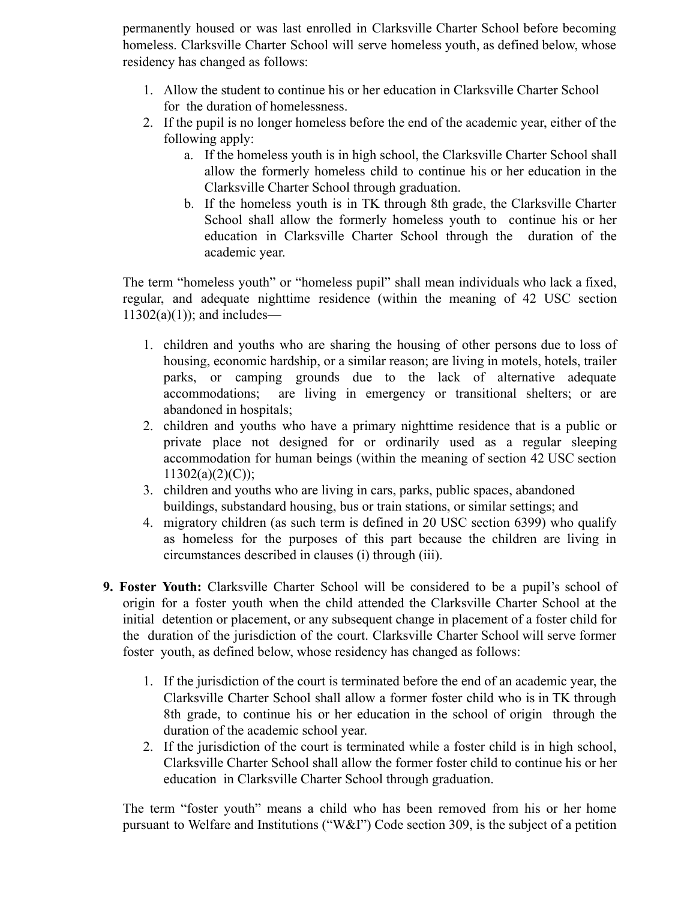permanently housed or was last enrolled in Clarksville Charter School before becoming homeless. Clarksville Charter School will serve homeless youth, as defined below, whose residency has changed as follows:

- 1. Allow the student to continue his or her education in Clarksville Charter School for the duration of homelessness.
- 2. If the pupil is no longer homeless before the end of the academic year, either of the following apply:
	- a. If the homeless youth is in high school, the Clarksville Charter School shall allow the formerly homeless child to continue his or her education in the Clarksville Charter School through graduation.
	- b. If the homeless youth is in TK through 8th grade, the Clarksville Charter School shall allow the formerly homeless youth to continue his or her education in Clarksville Charter School through the duration of the academic year.

The term "homeless youth" or "homeless pupil" shall mean individuals who lack a fixed, regular, and adequate nighttime residence (within the meaning of 42 USC section  $11302(a)(1)$ ; and includes—

- 1. children and youths who are sharing the housing of other persons due to loss of housing, economic hardship, or a similar reason; are living in motels, hotels, trailer parks, or camping grounds due to the lack of alternative adequate accommodations; are living in emergency or transitional shelters; or are abandoned in hospitals;
- 2. children and youths who have a primary nighttime residence that is a public or private place not designed for or ordinarily used as a regular sleeping accommodation for human beings (within the meaning of section 42 USC section  $11302(a)(2)(C)$ ;
- 3. children and youths who are living in cars, parks, public spaces, abandoned buildings, substandard housing, bus or train stations, or similar settings; and
- 4. migratory children (as such term is defined in 20 USC section 6399) who qualify as homeless for the purposes of this part because the children are living in circumstances described in clauses (i) through (iii).
- **9. Foster Youth:** Clarksville Charter School will be considered to be a pupil's school of origin for a foster youth when the child attended the Clarksville Charter School at the initial detention or placement, or any subsequent change in placement of a foster child for the duration of the jurisdiction of the court. Clarksville Charter School will serve former foster youth, as defined below, whose residency has changed as follows:
	- 1. If the jurisdiction of the court is terminated before the end of an academic year, the Clarksville Charter School shall allow a former foster child who is in TK through 8th grade, to continue his or her education in the school of origin through the duration of the academic school year.
	- 2. If the jurisdiction of the court is terminated while a foster child is in high school, Clarksville Charter School shall allow the former foster child to continue his or her education in Clarksville Charter School through graduation.

The term "foster youth" means a child who has been removed from his or her home pursuant to Welfare and Institutions ("W&I") Code section 309, is the subject of a petition